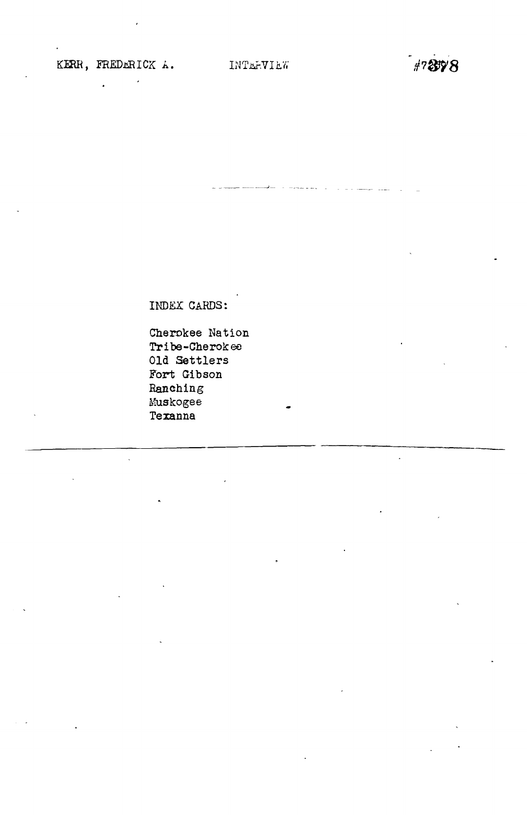$\sim 10^{11}$ 

 $\ddot{\cdot}$ 

 $47898$ 

INDEX CARDS:

Cherokee Nation Tribe-Cherokee Old Settlers Fort Gibson Eanching Muskogee Texanna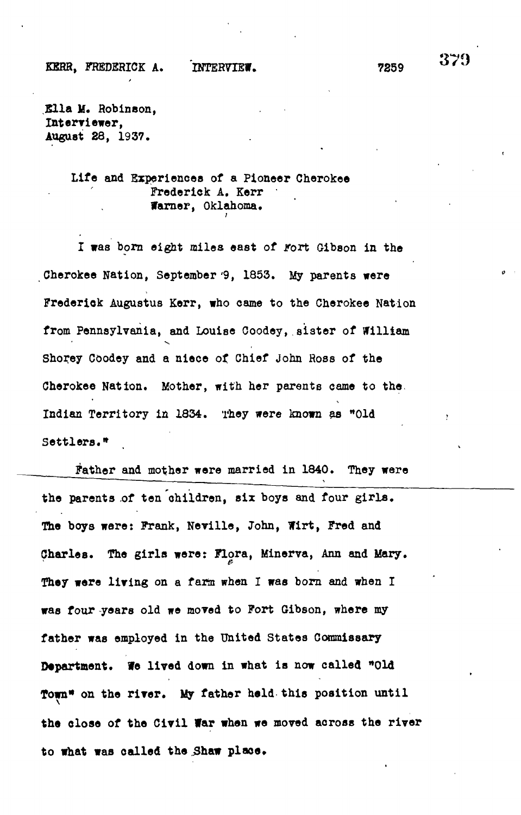**Klla M. Robinson, Interviewer, August 28, 1937.**

### **Life and Experiences of a Pioneer Cherokee Frederick A, Kerr Warner, Oklahoma,**

I was born eight miles east of *rort* Gibson in the **Cherokee Nation, September'9, 1853. My parents were Frederlok Augustus Kerr, who csme to the Cherokee Nation from Pennsylvania, and Louise Coodey, sister of William** v. **Shoi\*ey Coodey and a niece of Chief John Hoss of the Cherokee Nation. Mother, with her parents came to the. Indian Territory in 1834. They were known as "Old**

**Father and mother were married in 1840. They were** the parents of ten children, six boys and four girls. **The boys were: Frank, Neville, John, Wirt, Fred and Charles. The girls were: Flora, Minerva, Ann and Mary.** They were living on a farm when I was born and when I **was four -years old we moved to Fort Gibson, where my father was employed in the United States Commissary Department. We lived down in what is now called \*\*0ld Town" on the river. My father held this position until the close of the Civil far when we moved across the river** to what was called the Shaw place.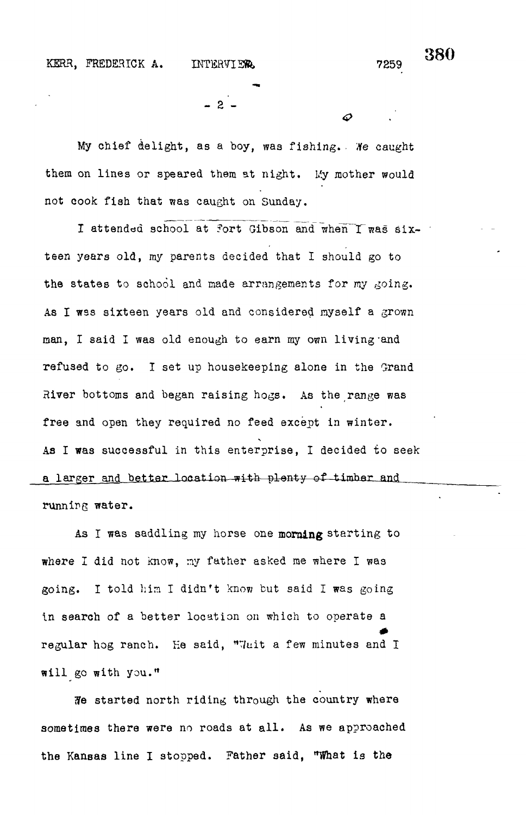$\boldsymbol{\varpi}$ 

- 2 -

My chief delight, as a boy, was fishing.. He caught them on lines or speared them at night. My mother would not cook fish that was caught on Sunday.

I attended school at fort Gibson and when I was sixteen years old, my parents decided that I should go to the states to school and made arrangements for my going. As I was sixteen years old and considered myself a grown man, I said I was old enough to earn my own living'and refused to go. I set up housekeeping alone in the Grand River bottoms and began raising hogs. As the range was free and open they required no feed except in winter. As I was successful in this enterprise, I decided to seek a larger and better location with plenty of timber and running water.

As I was saddling my horse one **morning** starting to where I did not know, ny father asked me where I was going. I told him I didn't know but said I was going in search of a better location on which to operate a regular hog ranch. He said, "Whit a few minutes and I will go with you."

i?e started north riding through the country where sometimes there were no roads at all. As we approached the Kansas line I stopped. Father said, "What is the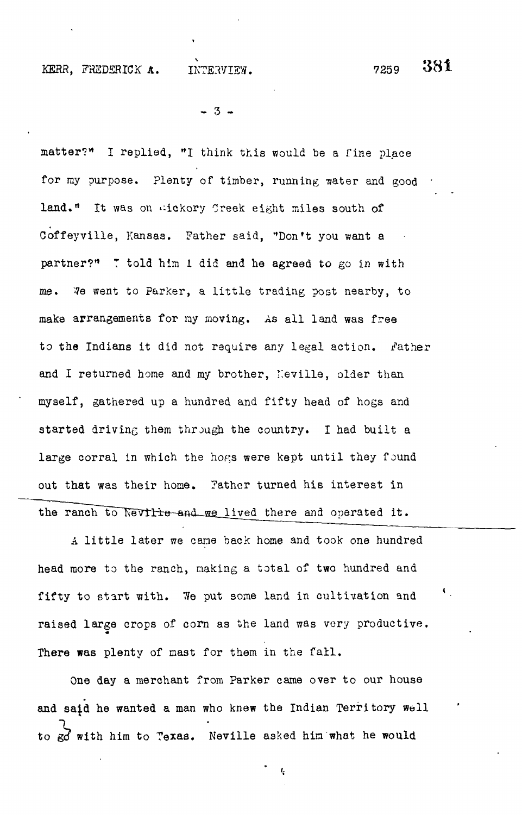## 381

 $-3 -$ 

matter?" I replied, "I think this would be a fine place for my purpose. Plenty of timber, running water and good land." It was on wickory Creek eight miles south of Goffeyville, Kansas. Father said, "Don't you want a partner?" T told him 1 did and he agreed to go in with me. We went to Parker, a little trading post nearby, to make arrangements for my moving. As all land was free to the Indians it did not require any legal action. Father and I returned home and my brother, Neville, older than myself, gathered up a hundred and fifty head of hogs and started driving them through the country. I had built a large corral in which the hogs were kept until they found out that was their home, father turned his interest in the ranch to Neville-and we lived there and operated it.

A little later we came back home and took one hundred head more to the ranch, making a total of two hundred and fifty to start with. We put some land in cultivation and raised large crops of corn as the land was very productive. There was plenty of mast for them in the fall.

One day a merchant from Parker came over to our house and said he wanted a man who knew the Indian Territory well to go with him to Texas. Neville asked him what he would

 $\frac{1}{3}$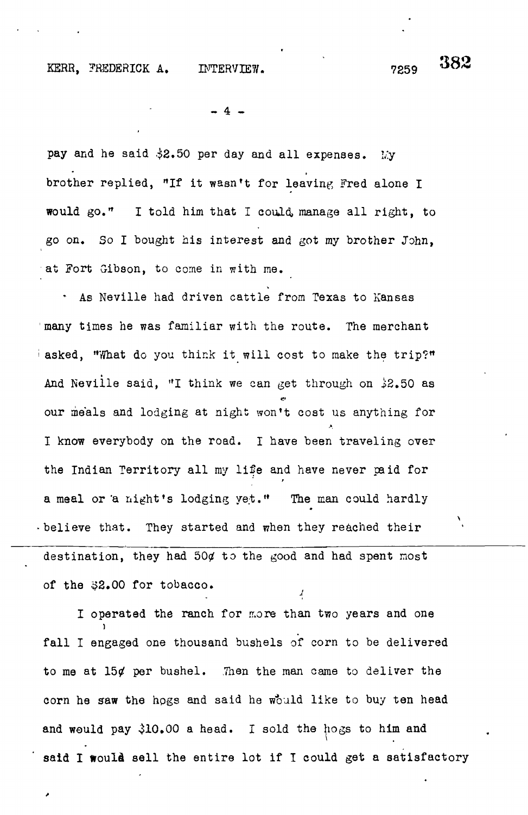# 382

 $-4$ 

pay and he said  $32.50$  per day and all expenses. My brother replied, "If it wasn't for leaving Fred alone I would go.\* I told him that I could, manage all right, to go on. So I bought his interest and got my brother John, at Fort Gibson, to come in with me.

\* As Neville had driven cattle from Texas to Kansas many times he was familiar with the route. The merchant asked, "What do you think it will cost to make the trip?" And Neville said, "I think we can get through on  $32.50$  as our meals and lodging at night won't cost us anything for I know everybody on the road. I have been traveling over the Indian Territory all my life and have never paid for , a meal or 'a night's lodging yet." The man could hardly believe that. They started and when they reached their destination, they had  $504$  to the good and had spent most of the \$2.00 for tobacco.

I operated the ranch for more than two years and one In operating the ranch for more than two years and one than two years and one than two years and one than two years and one than two years and one than two years and one than two years and one than two years and one than fall I engaged one thousand bushels of corn to be delivered to me at 15¢ per bushel. Then the man came to deliver the corn he saw the hogs and said he would like to buy ten head and would pay 310.000 a head. In the hogs to him and the hogs to him and the hogs to him and the hogs to him and  $\lambda$ said I would sell the entire lot if I could get a satisfactory

said I would sell the entire lot if  $I$  would get a satisfactory  $\mathcal{L}$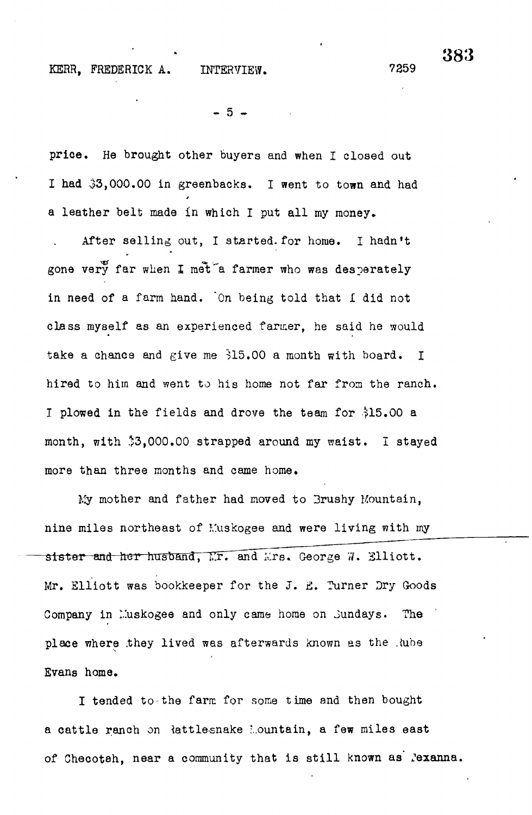$-5 -$ 

price. He brought other buyers and when I closed out I had  $33,000.00$  in greenbacks. I went to town and had a leather belt made in which I put all my money.

After selling out, I started.for home. I hadn't gone very far when I met a farmer who was desperately in need of a farm hand. "On being told that I did not class myself as an experienced farmer, he said he would take a chance and give me 315.00 a month with board. I hired to him and went to his home not far from the ranch. I plowed in the fields and drove the team for 315.00 a month, with \$3,000.00 strapped around my waist. I stayed more than three months and came home.

My mother and father had moved to 3rushy Mountain, nine miles northeast of Muskogee and were living with my sister and her husband, Mr. and Mrs. George 7. Elliott. iter and tosr husbancTTTxT and ilrs. George <7. Elliott. Company in Muskogee and only came home on Sundays. The place where they lived was afterwards known as the Rube place where  $\mathcal{L}_{\text{max}}$  is defined was afterwards known as the . Evans home.

a cattle ranch on  $R$  cattles nake '... $\alpha$  few miles east  $\alpha$  few miles east  $\alpha$ 

of Checoteh, near a community that is still known as' Jexanna.